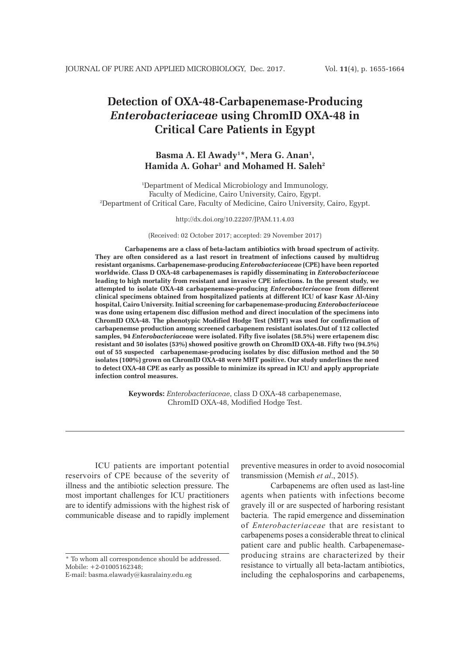# **Detection of OXA-48-Carbapenemase-Producing**  *Enterobacteriaceae* **using ChromID OXA-48 in Critical Care Patients in Egypt**

## Basma A. El Awady<sup>1\*</sup>, Mera G. Anan<sup>1</sup>, **Hamida A. Gohar1 and Mohamed H. Saleh2**

1 Department of Medical Microbiology and Immunology, Faculty of Medicine, Cairo University, Cairo, Egypt. 2 Department of Critical Care, Faculty of Medicine, Cairo University, Cairo, Egypt.

http://dx.doi.org/10.22207/JPAM.11.4.03

(Received: 02 October 2017; accepted: 29 November 2017)

**Carbapenems are a class of beta-lactam antibiotics with broad spectrum of activity. They are often considered as a last resort in treatment of infections caused by multidrug resistant organisms. Carbapenemase-producing** *Enterobacteriaceae* **(CPE) have been reported worldwide. Class D OXA-48 carbapenemases is rapidly disseminating in** *Enterobacteriaceae*  **leading to high mortality from resistant and invasive CPE infections. In the present study, we attempted to isolate OXA-48 carbapenemase-producing** *Enterobacteriaceae* **from different clinical specimens obtained from hospitalized patients at different ICU of kasr Kasr Al-Ainy hospital, Cairo University. Initial screening for carbapenemase-producing** *Enterobacteriaceae* **was done using ertapenem disc diffusion method and direct inoculation of the specimens into ChromID OXA-48. The phenotypic Modified Hodge Test (MHT) was used for confirmation of carbapenemse production among screened carbapenem resistant isolates.Out of 112 collected samples, 94** *Enterobacteriaceae* **were isolated. Fifty five isolates (58.5%) were ertapenem disc resistant and 50 isolates (53%) showed positive growth on ChromID OXA-48. Fifty two (94.5%) out of 55 suspected carbapenemase-producing isolates by disc diffusion method and the 50 isolates (100%) grown on ChromID OXA-48 were MHT positive. Our study underlines the need to detect OXA-48 CPE as early as possible to minimize its spread in ICU and apply appropriate infection control measures.**

> **Keywords:** *Enterobacteriaceae*, class D OXA-48 carbapenemase, ChromID OXA-48, Modified Hodge Test.

ICU patients are important potential reservoirs of CPE because of the severity of illness and the antibiotic selection pressure. The most important challenges for ICU practitioners are to identify admissions with the highest risk of communicable disease and to rapidly implement

preventive measures in order to avoid nosocomial transmission (Memish *et al*., 2015).

Carbapenems are often used as last-line agents when patients with infections become gravely ill or are suspected of harboring resistant bacteria. The rapid emergence and dissemination of *Enterobacteriaceae* that are resistant to carbapenems poses a considerable threat to clinical patient care and public health. Carbapenemaseproducing strains are characterized by their resistance to virtually all beta-lactam antibiotics, including the cephalosporins and carbapenems,

<sup>\*</sup> To whom all correspondence should be addressed. Mobile: +2-01005162348;

E-mail: basma.elawady@kasralainy.edu.eg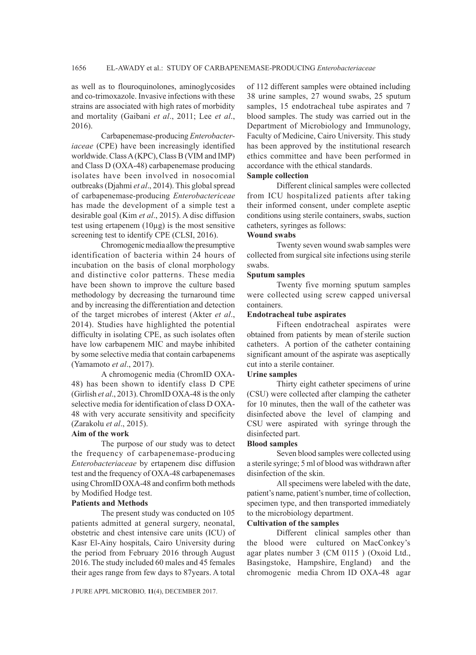as well as to flouroquinolones, aminoglycosides and co-trimoxazole. Invasive infections with these strains are associated with high rates of morbidity and mortality (Gaibani *et al*., 2011; Lee *et al*., 2016).

Carbapenemase-producing *Enterobacteriaceae* (CPE) have been increasingly identified worldwide. Class A (KPC), Class B (VIM and IMP) and Class D (OXA-48) carbapenemase producing isolates have been involved in nosocomial outbreaks (Djahmi *et al*., 2014). This global spread of carbapenemase-producing *Enterobactericeae* has made the development of a simple test a desirable goal (Kim *et al*., 2015). A disc diffusion test using ertapenem  $(10\mu g)$  is the most sensitive screening test to identify CPE (CLSI, 2016).

Chromogenic media allow the presumptive identification of bacteria within 24 hours of incubation on the basis of clonal morphology and distinctive color patterns. These media have been shown to improve the culture based methodology by decreasing the turnaround time and by increasing the differentiation and detection of the target microbes of interest (Akter *et al*., 2014). Studies have highlighted the potential difficulty in isolating CPE, as such isolates often have low carbapenem MIC and maybe inhibited by some selective media that contain carbapenems (Yamamoto *et al*., 2017).

A chromogenic media (ChromID OXA-48) has been shown to identify class D CPE (Girlish *et al*., 2013). ChromID OXA-48 is the only selective media for identification of class D OXA-48 with very accurate sensitivity and specificity (Zarakolu *et al*., 2015).

#### **Aim of the work**

The purpose of our study was to detect the frequency of carbapenemase-producing *Enterobacteriaceae* by ertapenem disc diffusion test and the frequency of OXA-48 carbapenemases using ChromID OXA-48 and confirm both methods by Modified Hodge test.

#### **Patients and Methods**

The present study was conducted on 105 patients admitted at general surgery, neonatal, obstetric and chest intensive care units (ICU) of Kasr El-Ainy hospitals, Cairo University during the period from February 2016 through August 2016. The study included 60 males and 45 females their ages range from few days to 87years. A total

J PURE APPL MICROBIO*,* **11**(4), DECEMBER 2017.

of 112 different samples were obtained including 38 urine samples, 27 wound swabs, 25 sputum samples, 15 endotracheal tube aspirates and 7 blood samples. The study was carried out in the Department of Microbiology and Immunology, Faculty of Medicine, Cairo University. This study has been approved by the institutional research ethics committee and have been performed in accordance with the ethical standards.

## **Sample collection**

Different clinical samples were collected from ICU hospitalized patients after taking their informed consent, under complete aseptic conditions using sterile containers, swabs, suction catheters, syringes as follows:

## **Wound swabs**

Twenty seven wound swab samples were collected from surgical site infections using sterile swabs.

## **Sputum samples**

Twenty five morning sputum samples were collected using screw capped universal containers.

#### **Endotracheal tube aspirates**

Fifteen endotracheal aspirates were obtained from patients by mean of sterile suction catheters. A portion of the catheter containing significant amount of the aspirate was aseptically cut into a sterile container.

## **Urine samples**

Thirty eight catheter specimens of urine (CSU) were collected after clamping the catheter for 10 minutes, then the wall of the catheter was disinfected above the level of clamping and CSU were aspirated with syringe through the disinfected part.

#### **Blood samples**

Seven blood samples were collected using a sterile syringe; 5 ml of blood was withdrawn after disinfection of the skin.

All specimens were labeled with the date, patient's name, patient's number, time of collection, specimen type, and then transported immediately to the microbiology department.

## **Cultivation of the samples**

Different clinical samples other than the blood were cultured on MacConkey's agar plates number 3 (CM 0115 ) (Oxoid Ltd., Basingstoke, Hampshire, England) and the chromogenic media Chrom ID OXA-48 agar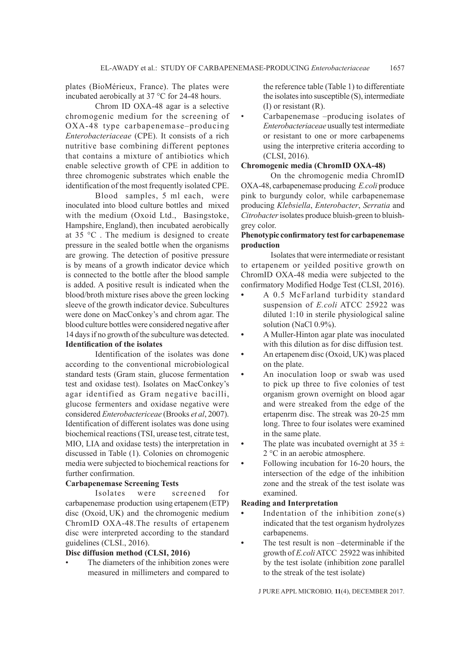plates (BioMérieux, France). The plates were incubated aerobically at 37 °C for 24-48 hours.

Chrom ID OXA-48 agar is a selective chromogenic medium for the screening of OXA-48 type carbapenemase–producing *Enterobacteriaceae* (CPE). It consists of a rich nutritive base combining different peptones that contains a mixture of antibiotics which enable selective growth of CPE in addition to three chromogenic substrates which enable the identification of the most frequently isolated CPE.

Blood samples, 5 ml each, were inoculated into blood culture bottles and mixed with the medium (Oxoid Ltd., Basingstoke, Hampshire, England), then incubated aerobically at 35 °C . The medium is designed to create pressure in the sealed bottle when the organisms are growing. The detection of positive pressure is by means of a growth indicator device which is connected to the bottle after the blood sample is added. A positive result is indicated when the blood/broth mixture rises above the green locking sleeve of the growth indicator device. Subcultures were done on MacConkey's and chrom agar. The blood culture bottles were considered negative after 14 days if no growth of the subculture was detected. **Identification of the isolates**

Identification of the isolates was done according to the conventional microbiological standard tests (Gram stain, glucose fermentation test and oxidase test). Isolates on MacConkey's agar identified as Gram negative bacilli, glucose fermenters and oxidase negative were considered *Enterobactericeae* (Brooks *et al*, 2007). Identification of different isolates was done using biochemical reactions (TSI, urease test, citrate test, MIO, LIA and oxidase tests) the interpretation in discussed in Table (1). Colonies on chromogenic media were subjected to biochemical reactions for further confirmation.

## **Carbapenemase Screening Tests**

Isolates were screened for carbapenemase production using ertapenem (ETP) disc (Oxoid, UK) and the chromogenic medium ChromID OXA-48.The results of ertapenem disc were interpreted according to the standard guidelines (CLSI., 2016).

## **Disc diffusion method (CLSI, 2016)**

The diameters of the inhibition zones were measured in millimeters and compared to

the reference table (Table 1) to differentiate the isolates into susceptible (S), intermediate (I) or resistant (R).

Carbapenemase -producing isolates of *Enterobacteriaceae* usually test intermediate or resistant to one or more carbapenems using the interpretive criteria according to (CLSI, 2016).

### **Chromogenic media (ChromID OXA-48)**

On the chromogenic media ChromID OXA-48, carbapenemase producing *E.coli* produce pink to burgundy color, while carbapenemase producing *Klebsiella*, *Enterobacter*, *Serratia* and *Citrobacter* isolates produce bluish-green to bluishgrey color.

## **Phenotypic confirmatory test for carbapenemase production**

Isolates that were intermediate or resistant to ertapenem or yeilded positive growth on ChromID OXA-48 media were subjected to the confirmatory Modified Hodge Test (CLSI, 2016).

- **•** A 0.5 McFarland turbidity standard suspension of *E.coli* ATCC 25922 was diluted 1:10 in sterile physiological saline solution (NaCl 0.9%).
- **•** A Muller-Hinton agar plate was inoculated with this dilution as for disc diffusion test.
- **•** An ertapenem disc (Oxoid, UK) was placed on the plate.
- **•** An inoculation loop or swab was used to pick up three to five colonies of test organism grown overnight on blood agar and were streaked from the edge of the ertapenrm disc. The streak was 20-25 mm long. Three to four isolates were examined in the same plate.
- The plate was incubated overnight at 35  $\pm$ 2 °C in an aerobic atmosphere.
- **•** Following incubation for 16-20 hours, the intersection of the edge of the inhibition zone and the streak of the test isolate was examined.

#### **Reading and Interpretation**

- **•** Indentation of the inhibition zone(s) indicated that the test organism hydrolyzes carbapenems.
- **•** The test result is non –determinable if the growth of *E.coli* ATCC 25922 was inhibited by the test isolate (inhibition zone parallel to the streak of the test isolate)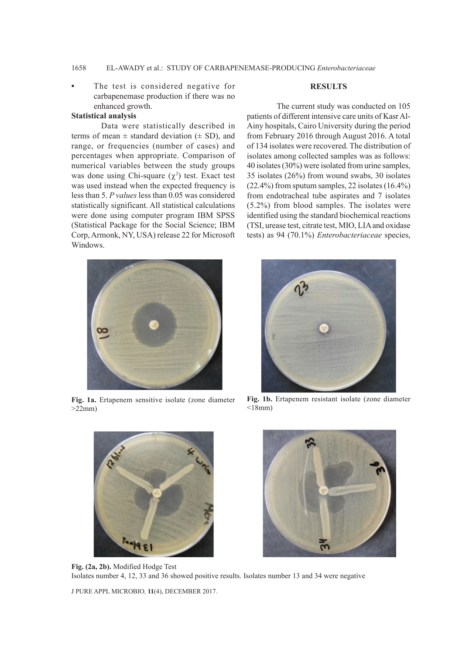## 1658 EL-AWADY et al.: STUDY OF CARBAPENEMASE-PRODUCING *Enterobacteriaceae*

The test is considered negative for carbapenemase production if there was no enhanced growth.

## **Statistical analysis**

## Data were statistically described in terms of mean  $\pm$  standard deviation ( $\pm$  SD), and range, or frequencies (number of cases) and percentages when appropriate. Comparison of numerical variables between the study groups was done using Chi-square  $(\chi^2)$  test. Exact test was used instead when the expected frequency is less than 5. *P values* less than 0.05 was considered statistically significant. All statistical calculations were done using computer program IBM SPSS (Statistical Package for the Social Science; IBM Corp, Armonk, NY, USA) release 22 for Microsoft Windows.

#### **RESULTS**

The current study was conducted on 105 patients of different intensive care units of Kasr Al-Ainy hospitals, Cairo University during the period from February 2016 through August 2016. A total of 134 isolates were recovered. The distribution of isolates among collected samples was as follows: 40 isolates (30%) were isolated from urine samples, 35 isolates (26%) from wound swabs, 30 isolates (22.4%) from sputum samples, 22 isolates (16.4%) from endotracheal tube aspirates and 7 isolates (5.2%) from blood samples. The isolates were identified using the standard biochemical reactions (TSI, urease test, citrate test, MIO, LIA and oxidase tests) as 94 (70.1%) *Enterobacteriaceae* species,



**Fig. 1a.** Ertapenem sensitive isolate (zone diameter  $>22$ mm)



**Fig. 1b.** Ertapenem resistant isolate (zone diameter  $<$ 18mm)





**Fig. (2a, 2b).** Modified Hodge Test Isolates number 4, 12, 33 and 36 showed positive results. Isolates number 13 and 34 were negative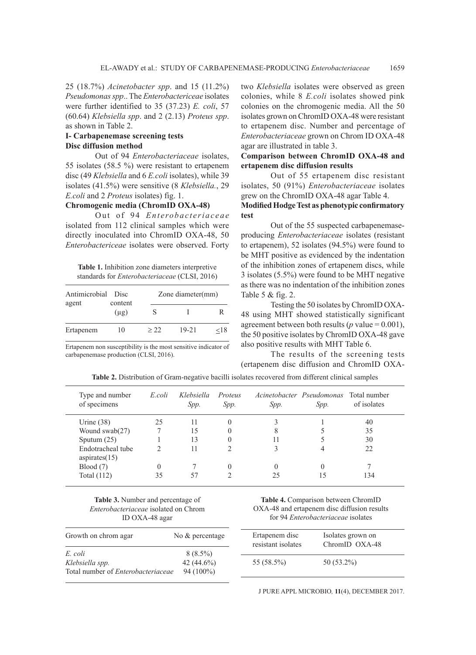25 (18.7%) *Acinetobacter spp*. and 15 (11.2%) *Pseudomonas spp*.. The *Enterobactericeae* isolates were further identified to 35 (37.23) *E. coli*, 57 (60.64) *Klebsiella spp*. and 2 (2.13) *Proteus spp*. as shown in Table 2.

## **I- Carbapenemase screening tests Disc diffusion method**

Out of 94 *Enterobacteriaceae* isolates, 55 isolates (58.5 %) were resistant to ertapenem disc (49 *Klebsiella* and 6 *E.coli* isolates), while 39 isolates (41.5%) were sensitive (8 *Klebsiella.*, 29 *E.coli* and 2 *Proteus* isolates) fig. 1.

## **Chromogenic media (ChromID OXA-48)**

Out of 94 *Enterobacteriaceae* isolated from 112 clinical samples which were directly inoculated into ChromID OXA-48, 50 *Enterobactericeae* isolates were observed. Forty

**Table 1.** Inhibition zone diameters interpretive standards for *Enterobacteriaceae* (CLSI, 2016)

| Antimicrobial<br>agent | <b>Disc</b><br>content<br>$(\mu g)$ |      | Zone diameter(mm) |         |  |  |
|------------------------|-------------------------------------|------|-------------------|---------|--|--|
|                        |                                     |      |                   |         |  |  |
| Ertapenem              | 10                                  | > 22 | $19 - 21$         | ${<}18$ |  |  |

Ertapenem non susceptibility is the most sensitive indicator of carbapenemase production (CLSI, 2016).

two *Klebsiella* isolates were observed as green colonies, while 8 *E.coli* isolates showed pink colonies on the chromogenic media. All the 50 isolates grown on ChromID OXA-48 were resistant to ertapenem disc. Number and percentage of *Enterobacteriaceae* grown on Chrom ID OXA-48 agar are illustrated in table 3.

## **Comparison between ChromID OXA-48 and ertapenem disc diffusion results**

Out of 55 ertapenem disc resistant isolates, 50 (91%) *Enterobacteriaceae* isolates grew on the ChromID OXA-48 agar Table 4.

## **Modified Hodge Test as phenotypic confirmatory test**

Out of the 55 suspected carbapenemaseproducing *Enterobacteriaceae* isolates (resistant to ertapenem), 52 isolates (94.5%) were found to be MHT positive as evidenced by the indentation of the inhibition zones of ertapenem discs, while 3 isolates (5.5%) were found to be MHT negative as there was no indentation of the inhibition zones Table 5 & fig. 2.

Testing the 50 isolates by ChromID OXA-48 using MHT showed statistically significant agreement between both results ( $p$  value = 0.001), the 50 positive isolates by ChromID OXA-48 gave also positive results with MHT Table 6.

The results of the screening tests (ertapenem disc diffusion and ChromID OXA-

| Type and number<br>of specimens    | E coli | Klebsiella<br>Spp. | Proteus<br>Spp. | Spp.     | Acinetobacter Pseudomonas<br>Spp. | Total number<br>of isolates |
|------------------------------------|--------|--------------------|-----------------|----------|-----------------------------------|-----------------------------|
| Urine $(38)$                       | 25     | 11                 | $\Omega$        |          |                                   | 40                          |
| Wound $swab(27)$                   |        | 15                 | $\theta$        | 8        |                                   | 35                          |
| Sputum $(25)$                      |        | 13                 | $\theta$        |          |                                   | 30                          |
| Endotracheal tube<br>aspirates(15) |        | 11                 | C               |          |                                   | 22                          |
| Blood(7)                           |        |                    | $\Omega$        | $\theta$ |                                   |                             |
| Total $(112)$                      | 35     | 57                 |                 | 25       |                                   | 134                         |

**Table 2.** Distribution of Gram-negative bacilli isolates recovered from different clinical samples

**Table 3.** Number and percentage of *Enterobacteriaceae* isolated on Chrom ID OXA-48 agar

| Growth on chrom agar                      | No & percentage | Ertapenem disc<br>resistant isolates | Isolates grown on<br>ChromID OXA-48 |
|-------------------------------------------|-----------------|--------------------------------------|-------------------------------------|
| E. coli                                   | $8(8.5\%)$      |                                      |                                     |
| Klebsiella spp.                           | 42 $(44.6\%)$   | 55 (58.5%)                           | $50(53.2\%)$                        |
| Total number of <i>Enterobacteriaceae</i> | $94(100\%)$     |                                      |                                     |
|                                           |                 |                                      |                                     |

**Table 4.** Comparison between ChromID OXA-48 and ertapenem disc diffusion results for 94 *Enterobacteriaceae* isolates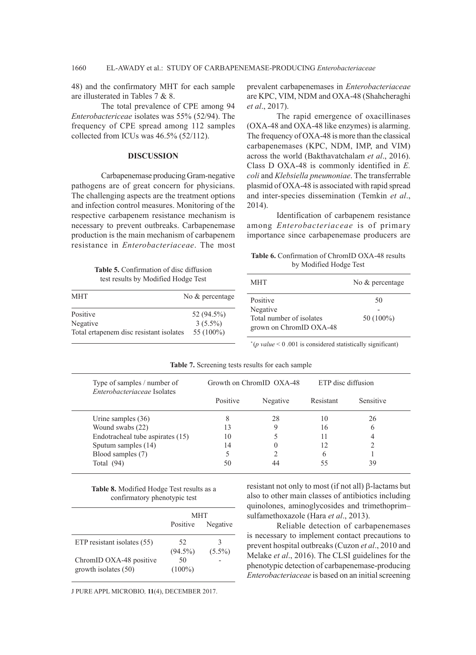48) and the confirmatory MHT for each sample are illusterated in Tables 7 & 8.

The total prevalence of CPE among 94 *Enterobactericeae* isolates was 55% (52/94). The frequency of CPE spread among 112 samples collected from ICUs was 46.5% (52/112).

## **DISCUSSION**

Carbapenemase producing Gram-negative pathogens are of great concern for physicians. The challenging aspects are the treatment options and infection control measures. Monitoring of the respective carbapenem resistance mechanism is necessary to prevent outbreaks. Carbapenemase production is the main mechanism of carbapenem resistance in *Enterobacteriaceae*. The most

prevalent carbapenemases in *Enterobacteriaceae* are KPC, VIM, NDM and OXA-48 (Shahcheraghi *et al*., 2017).

The rapid emergence of oxacillinases (OXA-48 and OXA-48 like enzymes) is alarming. The frequency of OXA-48 is more than the classical carbapenemases (KPC, NDM, IMP, and VIM) across the world (Bakthavatchalam *et al*., 2016). Class D OXA-48 is commonly identified in *E. coli* and *Klebsiella pneumoniae*. The transferrable plasmid of OXA-48 is associated with rapid spread and inter-species dissemination (Temkin *et al*., 2014).

Identification of carbapenem resistance among *Enterobacteriaceae* is of primary importance since carbapenemase producers are

**Table 6.** Confirmation of ChromID OXA-48 results by Modified Hodge Test

**Table 5.** Confirmation of disc diffusion test results by Modified Hodge Test

| test results by infourtied frouge rest                          |                                          | <b>MHT</b>                                                      | No & percentage |  |
|-----------------------------------------------------------------|------------------------------------------|-----------------------------------------------------------------|-----------------|--|
| MHT                                                             | No $&$ percentage                        | Positive                                                        | 50              |  |
| Positive<br>Negative<br>Total ertapenem disc resistant isolates | 52 (94.5%)<br>$3(5.5\%)$<br>55 $(100\%)$ | Negative<br>Total number of isolates<br>grown on ChromID OXA-48 | $50(100\%)$     |  |

*\** (*p value* < 0 .001 is considered statistically significant)

| Type of samples / number of<br>Enterobacteriaceae Isolates | Growth on ChromID OXA-48 |          | ETP disc diffusion |                  |
|------------------------------------------------------------|--------------------------|----------|--------------------|------------------|
|                                                            | Positive                 | Negative | Resistant          | <b>Sensitive</b> |
| Urine samples $(36)$                                       | 8                        | 28       | 10                 | 26               |
| Wound swabs (22)                                           | 13                       |          | 16                 | <sub>0</sub>     |
| Endotracheal tube aspirates (15)                           | 10                       |          |                    |                  |
| Sputum samples (14)                                        | 14                       |          | 12                 |                  |
| Blood samples (7)                                          |                          |          | <sub>(</sub>       |                  |
| Total $(94)$                                               | 50                       |          | 55                 | 39               |

**Table 7.** Screening tests results for each sample

**Table 8.** Modified Hodge Test results as a confirmatory phenotypic test

|                                                 | MHT               |                |  |
|-------------------------------------------------|-------------------|----------------|--|
|                                                 | Positive          | Negative       |  |
| ETP resistant isolates (55)                     | 52.<br>$(94.5\%)$ | З<br>$(5.5\%)$ |  |
| ChromID OXA-48 positive<br>growth isolates (50) | 50<br>$(100\%)$   |                |  |
|                                                 |                   |                |  |

J PURE APPL MICROBIO*,* **11**(4), DECEMBER 2017.

resistant not only to most (if not all)  $\beta$ -lactams but also to other main classes of antibiotics including quinolones, aminoglycosides and trimethoprim– sulfamethoxazole (Hara *et al*., 2013).

Reliable detection of carbapenemases is necessary to implement contact precautions to prevent hospital outbreaks (Cuzon *et al*., 2010 and Melake *et al*., 2016). The CLSI guidelines for the phenotypic detection of carbapenemase-producing *Enterobacteriaceae* is based on an initial screening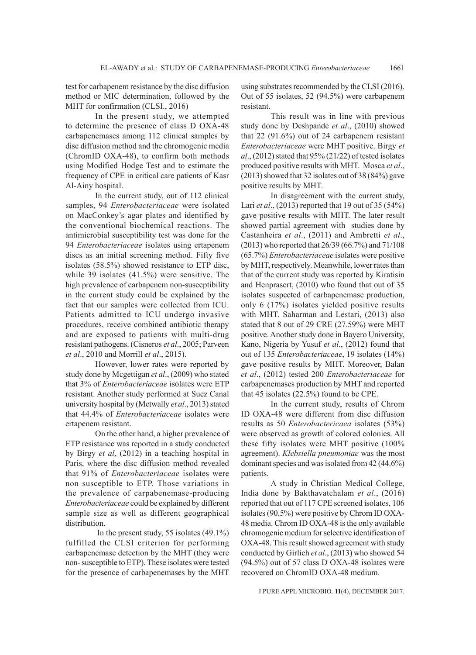test for carbapenem resistance by the disc diffusion method or MIC determination, followed by the MHT for confirmation (CLSI., 2016)

In the present study, we attempted to determine the presence of class D OXA-48 carbapenemases among 112 clinical samples by disc diffusion method and the chromogenic media (ChromID OXA-48), to confirm both methods using Modified Hodge Test and to estimate the frequency of CPE in critical care patients of Kasr Al-Ainy hospital.

In the current study, out of 112 clinical samples, 94 *Enterobacteriaceae* were isolated on MacConkey's agar plates and identified by the conventional biochemical reactions. The antimicrobial susceptibility test was done for the 94 *Enterobacteriaceae* isolates using ertapenem discs as an initial screening method. Fifty five isolates (58.5%) showed resistance to ETP disc, while 39 isolates (41.5%) were sensitive. The high prevalence of carbapenem non-susceptibility in the current study could be explained by the fact that our samples were collected from ICU. Patients admitted to ICU undergo invasive procedures, receive combined antibiotic therapy and are exposed to patients with multi-drug resistant pathogens. (Cisneros *et al*., 2005; Parveen *et al*., 2010 and Morrill *et al*., 2015).

However, lower rates were reported by study done by Mcgettigan *et al*., (2009) who stated that 3% of *Enterobacteriaceae* isolates were ETP resistant. Another study performed at Suez Canal university hospital by (Metwally *et al*., 2013) stated that 44.4% of *Enterobacteriaceae* isolates were ertapenem resistant.

On the other hand, a higher prevalence of ETP resistance was reported in a study conducted by Birgy *et al*, (2012) in a teaching hospital in Paris, where the disc diffusion method revealed that 91% of *Enterobacteriaceae* isolates were non susceptible to ETP. Those variations in the prevalence of carpabenemase-producing *Enterobacteriaceae* could be explained by different sample size as well as different geographical distribution.

 In the present study, 55 isolates (49.1%) fulfilled the CLSI criterion for performing carbapenemase detection by the MHT (they were non- susceptible to ETP). These isolates were tested for the presence of carbapenemases by the MHT using substrates recommended by the CLSI (2016). Out of 55 isolates, 52 (94.5%) were carbapenem resistant.

This result was in line with previous study done by Deshpande *et al*., (2010) showed that 22 (91.6%) out of 24 carbapenem resistant *Enterobacteriaceae* were MHT positive. Birgy *et al*., (2012) stated that 95% (21/22) of tested isolates produced positive results with MHT. Mosca *et al*., (2013) showed that 32 isolates out of 38 (84%) gave positive results by MHT.

In disagreement with the current study, Lari *et al*., (2013) reported that 19 out of 35 (54%) gave positive results with MHT. The later result showed partial agreement with studies done by Castanheira *et al*., (2011) and Ambretti *et al*., (2013) who reported that 26/39 (66.7%) and 71/108 (65.7%) *Enterobacteriaceae* isolates were positive by MHT, respectively. Meanwhile, lower rates than that of the current study was reported by Kiratisin and Henprasert, (2010) who found that out of 35 isolates suspected of carbapenemase production, only 6 (17%) isolates yielded positive results with MHT. Saharman and Lestari, (2013) also stated that 8 out of 29 CRE (27.59%) were MHT positive. Another study done in Bayero University, Kano, Nigeria by Yusuf *et al*., (2012) found that out of 135 *Enterobacteriaceae*, 19 isolates (14%) gave positive results by MHT. Moreover, Balan *et al*., (2012) tested 200 *Enterobacteriaceae* for carbapenemases production by MHT and reported that 45 isolates (22.5%) found to be CPE.

In the current study, results of Chrom ID OXA-48 were different from disc diffusion results as 50 *Enterobactericaea* isolates (53%) were observed as growth of colored colonies. All these fifty isolates were MHT positive (100% agreement). *Klebsiella pneumoniae* was the most dominant species and was isolated from 42 (44.6%) patients.

A study in Christian Medical College, India done by Bakthavatchalam *et al*., (2016) reported that out of 117 CPE screened isolates, 106 isolates (90.5%) were positive by Chrom ID OXA-48 media. Chrom ID OXA-48 is the only available chromogenic medium for selective identification of OXA-48. This result showed agreement with study conducted by Girlich *et al*., (2013) who showed 54 (94.5%) out of 57 class D OXA-48 isolates were recovered on ChromID OXA-48 medium.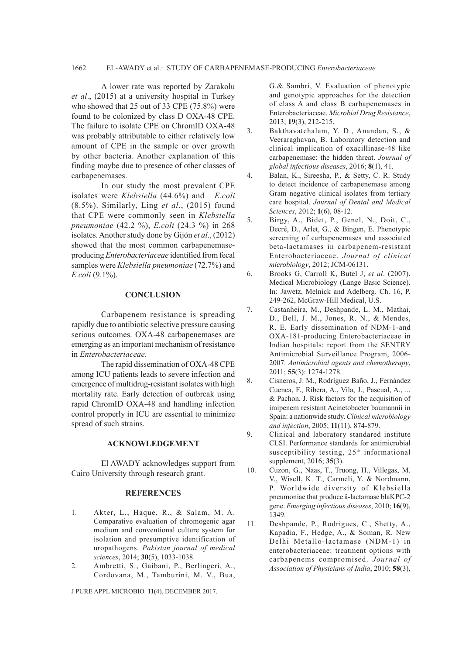#### 1662 EL-AWADY et al.: STUDY OF CARBAPENEMASE-PRODUCING *Enterobacteriaceae*

A lower rate was reported by Zarakolu *et al*., (2015) at a university hospital in Turkey who showed that 25 out of 33 CPE (75.8%) were found to be colonized by class D OXA-48 CPE. The failure to isolate CPE on ChromID OXA-48 was probably attributable to either relatively low amount of CPE in the sample or over growth by other bacteria. Another explanation of this finding maybe due to presence of other classes of carbapenemases.

In our study the most prevalent CPE isolates were *Klebsiella* (44.6%) and *E.coli* (8.5%). Similarly, Ling *et al*., (2015) found that CPE were commonly seen in *Klebsiella pneumoniae* (42.2 %), *E.coli* (24.3 %) in 268 isolates. Another study done by Gijón *et al*., (2012) showed that the most common carbapenemaseproducing *Enterobacteriaceae* identified from fecal samples were *Klebsiella pneumoniae* (72.7%) and *E.coli* (9.1%).

## **CONCLUSION**

Carbapenem resistance is spreading rapidly due to antibiotic selective pressure causing serious outcomes. OXA-48 carbapenemases are emerging as an important mechanism of resistance in *Enterobacteriaceae*.

The rapid dissemination of OXA-48 CPE among ICU patients leads to severe infection and emergence of multidrug-resistant isolates with high mortality rate. Early detection of outbreak using rapid ChromID OXA-48 and handling infection control properly in ICU are essential to minimize spread of such strains.

#### **ACKNOWLEDGEMENT**

El AWADY acknowledges support from Cairo University through research grant.

#### **REFERENCES**

- 1. Akter, L., Haque, R., & Salam, M. A. Comparative evaluation of chromogenic agar medium and conventional culture system for isolation and presumptive identification of uropathogens. *Pakistan journal of medical sciences*, 2014; **30**(5), 1033-1038.
- 2. Ambretti, S., Gaibani, P., Berlingeri, A., Cordovana, M., Tamburini, M. V., Bua,

J PURE APPL MICROBIO*,* **11**(4), DECEMBER 2017.

G.& Sambri, V. Evaluation of phenotypic and genotypic approaches for the detection of class A and class B carbapenemases in Enterobacteriaceae. *Microbial Drug Resistance*, 2013; **19**(3), 212-215.

- 3. Bakthavatchalam, Y. D., Anandan, S., & Veeraraghavan, B. Laboratory detection and clinical implication of oxacillinase-48 like carbapenemase: the hidden threat. *Journal of global infectious diseases*, 2016; **8**(1), 41.
- 4. Balan, K., Sireesha, P., & Setty, C. R. Study to detect incidence of carbapenemase among Gram negative clinical isolates from tertiary care hospital. *Journal of Dental and Medical Sciences*, 2012; **1**(6), 08-12.
- 5. Birgy, A., Bidet, P., Genel, N., Doit, C., Decré, D., Arlet, G., & Bingen, E. Phenotypic screening of carbapenemases and associated beta-lactamases in carbapenem-resistant Enterobacteriaceae. *Journal of clinical microbiology*, 2012; JCM-06131.
- 6. Brooks G, Carroll K, Butel J, *et al*. (2007). Medical Microbiology (Lange Basic Science). In: Jawetz, Melnick and Adelberg. Ch. 16, P. 249-262, McGraw-Hill Medical, U.S.
- 7. Castanheira, M., Deshpande, L. M., Mathai, D., Bell, J. M., Jones, R. N., & Mendes, R. E. Early dissemination of NDM-1-and OXA-181-producing Enterobacteriaceae in Indian hospitals: report from the SENTRY Antimicrobial Surveillance Program, 2006- 2007. *Antimicrobial agents and chemotherapy*, 2011; **55**(3): 1274-1278.
- 8. Cisneros, J. M., Rodríguez Baño, J., Fernández Cuenca, F., Ribera, A., Vila, J., Pascual, A., ... & Pachon, J. Risk factors for the acquisition of imipenem resistant Acinetobacter baumannii in Spain: a nationwide study. *Clinical microbiology and infection*, 2005; **11**(11), 874-879.
- 9. Clinical and laboratory standared institute CLSI. Performance standards for antimicrobial susceptibility testing,  $25<sup>th</sup>$  informational supplement, 2016; **35**(3).
- 10. Cuzon, G., Naas, T., Truong, H., Villegas, M. V., Wisell, K. T., Carmeli, Y. & Nordmann, P. Worldwide diversity of Klebsiella pneumoniae that produce â-lactamase blaKPC-2 gene. *Emerging infectious diseases*, 2010; **16**(9), 1349.
- 11. Deshpande, P., Rodrigues, C., Shetty, A., Kapadia, F., Hedge, A., & Soman, R. New Delhi Metallo-lactamase (NDM-1) in enterobacteriaceae: treatment options with carbapenems compromised. *Journal of Association of Physicians of India*, 2010; **58**(3),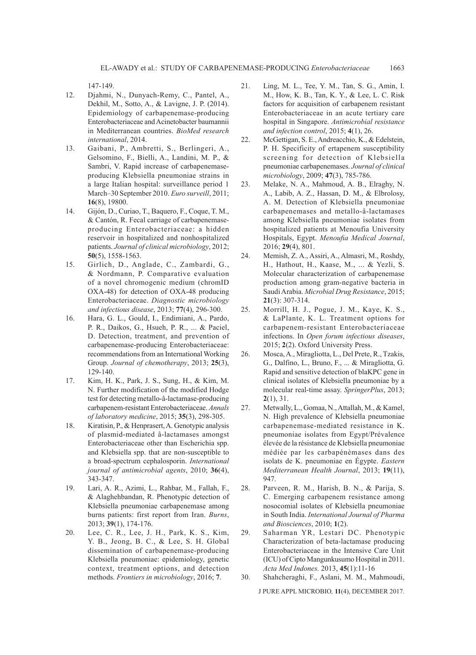147-149.

- 12. Djahmi, N., Dunyach-Remy, C., Pantel, A., Dekhil, M., Sotto, A., & Lavigne, J. P. (2014). Epidemiology of carbapenemase-producing Enterobacteriaceae and Acinetobacter baumannii in Mediterranean countries. *BioMed research international*, 2014.
- 13. Gaibani, P., Ambretti, S., Berlingeri, A., Gelsomino, F., Bielli, A., Landini, M. P., & Sambri, V. Rapid increase of carbapenemaseproducing Klebsiella pneumoniae strains in a large Italian hospital: surveillance period 1 March–30 September 2010. *Euro surveill*, 2011; **16**(8), 19800.
- 14. Gijón, D., Curiao, T., Baquero, F., Coque, T. M., & Cantón, R. Fecal carriage of carbapenemaseproducing Enterobacteriaceae: a hidden reservoir in hospitalized and nonhospitalized patients. *Journal of clinical microbiology*, 2012; **50**(5), 1558-1563.
- 15. Girlich, D., Anglade, C., Zambardi, G., & Nordmann, P. Comparative evaluation of a novel chromogenic medium (chromID OXA-48) for detection of OXA-48 producing Enterobacteriaceae. *Diagnostic microbiology and infectious disease*, 2013; **77**(4), 296-300.
- 16. Hara, G. L., Gould, I., Endimiani, A., Pardo, P. R., Daikos, G., Hsueh, P. R., ... & Paciel, D. Detection, treatment, and prevention of carbapenemase-producing Enterobacteriaceae: recommendations from an International Working Group. *Journal of chemotherapy*, 2013; **25**(3), 129-140.
- 17. Kim, H. K., Park, J. S., Sung, H., & Kim, M. N. Further modification of the modified Hodge test for detecting metallo-â-lactamase-producing carbapenem-resistant Enterobacteriaceae. *Annals of laboratory medicine*, 2015; **35**(3), 298-305.
- 18. Kiratisin, P., & Henprasert, A. Genotypic analysis of plasmid-mediated â-lactamases amongst Enterobacteriaceae other than Escherichia spp. and Klebsiella spp. that are non-susceptible to a broad-spectrum cephalosporin. *International journal of antimicrobial agents*, 2010; **36**(4), 343-347.
- 19. Lari, A. R., Azimi, L., Rahbar, M., Fallah, F., & Alaghehbandan, R. Phenotypic detection of Klebsiella pneumoniae carbapenemase among burns patients: first report from Iran. *Burns*, 2013; **39**(1), 174-176.
- 20. Lee, C. R., Lee, J. H., Park, K. S., Kim, Y. B., Jeong, B. C., & Lee, S. H. Global dissemination of carbapenemase-producing Klebsiella pneumoniae: epidemiology, genetic context, treatment options, and detection methods. *Frontiers in microbiology*, 2016; **7**.
- 21. Ling, M. L., Tee, Y. M., Tan, S. G., Amin, I. M., How, K. B., Tan, K. Y., & Lee, L. C. Risk factors for acquisition of carbapenem resistant Enterobacteriaceae in an acute tertiary care hospital in Singapore. *Antimicrobial resistance and infection control*, 2015; **4**(1), 26.
- 22. McGettigan, S. E., Andreacchio, K., & Edelstein, P. H. Specificity of ertapenem susceptibility screening for detection of Klebsiella pneumoniae carbapenemases. *Journal of clinical microbiology*, 2009; **47**(3), 785-786.
- 23. Melake, N. A., Mahmoud, A. B., Elraghy, N. A., Labib, A. Z., Hassan, D. M., & Elbrolosy, A. M. Detection of Klebsiella pneumoniae carbapenemases and metallo-â-lactamases among Klebsiella pneumoniae isolates from hospitalized patients at Menoufia University Hospitals, Egypt. *Menoufia Medical Journal*, 2016; **29**(4), 801.
- 24. Memish, Z. A., Assiri, A., Almasri, M., Roshdy, H., Hathout, H., Kaase, M., ... & Yezli, S. Molecular characterization of carbapenemase production among gram-negative bacteria in Saudi Arabia. *Microbial Drug Resistance*, 2015; **21**(3): 307-314.
- 25. Morrill, H. J., Pogue, J. M., Kaye, K. S., & LaPlante, K. L. Treatment options for carbapenem-resistant Enterobacteriaceae infections. In *Open forum infectious diseases*, 2015; **2**(2). Oxford University Press.
- 26. Mosca, A., Miragliotta, L., Del Prete, R., Tzakis, G., Dalfino, L., Bruno, F., ... & Miragliotta, G. Rapid and sensitive detection of blaKPC gene in clinical isolates of Klebsiella pneumoniae by a molecular real-time assay. *SpringerPlus*, 2013; **2**(1), 31.
- 27. Metwally, L., Gomaa, N., Attallah, M., & Kamel, N. High prevalence of Klebsiella pneumoniae carbapenemase-mediated resistance in K. pneumoniae isolates from Egypt/Prévalence élevée de la résistance de Klebsiella pneumoniae médiée par les carbapénèmases dans des isolats de K. pneumoniae en Égypte. *Eastern Mediterranean Health Journal*, 2013; **19**(11), 947.
- 28. Parveen, R. M., Harish, B. N., & Parija, S. C. Emerging carbapenem resistance among nosocomial isolates of Klebsiella pneumoniae in South India. *International Journal of Pharma and Biosciences*, 2010; **1**(2).
- 29. Saharman YR, Lestari DC. Phenotypic Characterization of beta-lactamase producing Enterobacteriaceae in the Intensive Care Unit (ICU) of Cipto Mangunkusumo Hospital in 2011. *Acta Med Indones.* 2013, **45**(1):11-16

30. Shahcheraghi, F., Aslani, M. M., Mahmoudi,